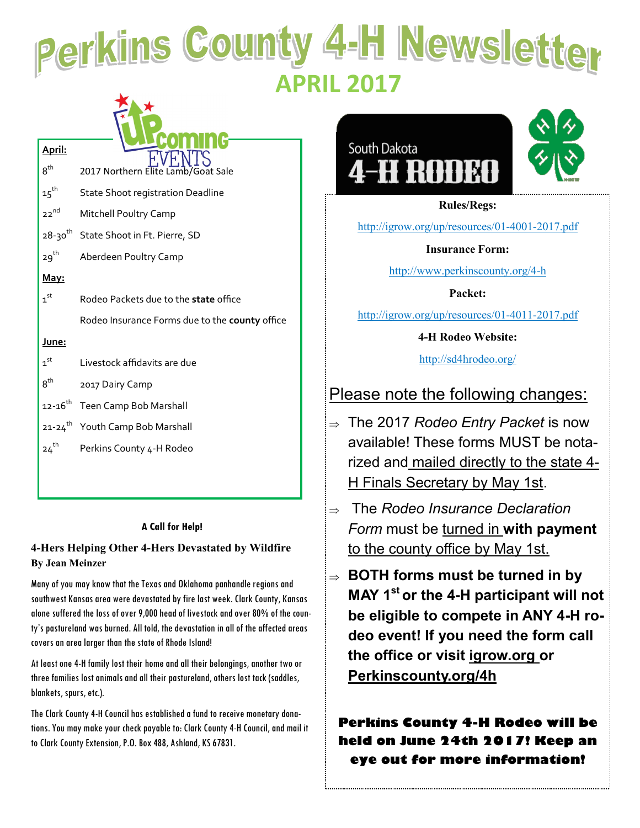# Perkins County 4-H Newsletter  **APRIL 2017**

| April:                    |                                                |
|---------------------------|------------------------------------------------|
| $8^{\text{th}}$           | 2017 Northern Elite Lamb/Goat Sale             |
| $\mathbf{15}^{\text{th}}$ | <b>State Shoot registration Deadline</b>       |
| $22^{nd}$                 | <b>Mitchell Poultry Camp</b>                   |
| 28-30 <sup>th</sup>       | State Shoot in Ft. Pierre, SD                  |
| $29^{th}$                 | Aberdeen Poultry Camp                          |
| May:                      |                                                |
| $\mathbf{1}^{\text{st}}$  | Rodeo Packets due to the <b>state</b> office   |
|                           | Rodeo Insurance Forms due to the county office |
| <u>June:</u>              |                                                |
| 1 <sup>st</sup>           | Livestock affidavits are due                   |
| $8^{\text{th}}$           | 2017 Dairy Camp                                |
| $12 - 16$ <sup>th</sup>   | Teen Camp Bob Marshall                         |
|                           | 21-24 <sup>th</sup> Youth Camp Bob Marshall    |
| $24^{th}$                 | Perkins County 4-H Rodeo                       |
|                           |                                                |

#### **A Call for Help!**

#### **4-Hers Helping Other 4-Hers Devastated by Wildfire By Jean Meinzer**

Many of you may know that the Texas and Oklahoma panhandle regions and southwest Kansas area were devastated by fire last week. Clark County, Kansas alone suffered the loss of over 9,000 head of livestock and over 80% of the county's pastureland was burned. All told, the devastation in all of the affected areas covers an area larger than the state of Rhode Island!

At least one 4-H family lost their home and all their belongings, another two or three families lost animals and all their pastureland, others lost tack (saddles, blankets, spurs, etc.).

The Clark County 4-H Council has established a fund to receive monetary donations. You may make your check payable to: Clark County 4-H Council, and mail it to Clark County Extension, P.O. Box 488, Ashland, KS 67831.



**Rules/Regs:**

[http://igrow.org/up/resources/01](http://igrow.org/up/resources/01-4001-2017.pdf)-4001-2017.pdf

**Insurance Form:**

http://www.perkinscounty.org/4-h

**Packet:** 

http://igrow.org/up/resources/01-4011-2017.pdf

**4-H Rodeo Website:** 

http://sd4hrodeo.org/

#### Please note the following changes:

- The 2017 *Rodeo Entry Packet* is now available! These forms MUST be notarized and mailed directly to the state 4- H Finals Secretary by May 1st.
- The *Rodeo Insurance Declaration Form* must be turned in **with payment** to the county office by May 1st.
- **BOTH forms must be turned in by MAY 1st or the 4-H participant will not be eligible to compete in ANY 4-H rodeo event! If you need the form call the office or visit igrow.org or Perkinscounty.org/4h**

**Perkins County 4-H Rodeo will be held on June 24th 2017! Keep an eye out for more information!**